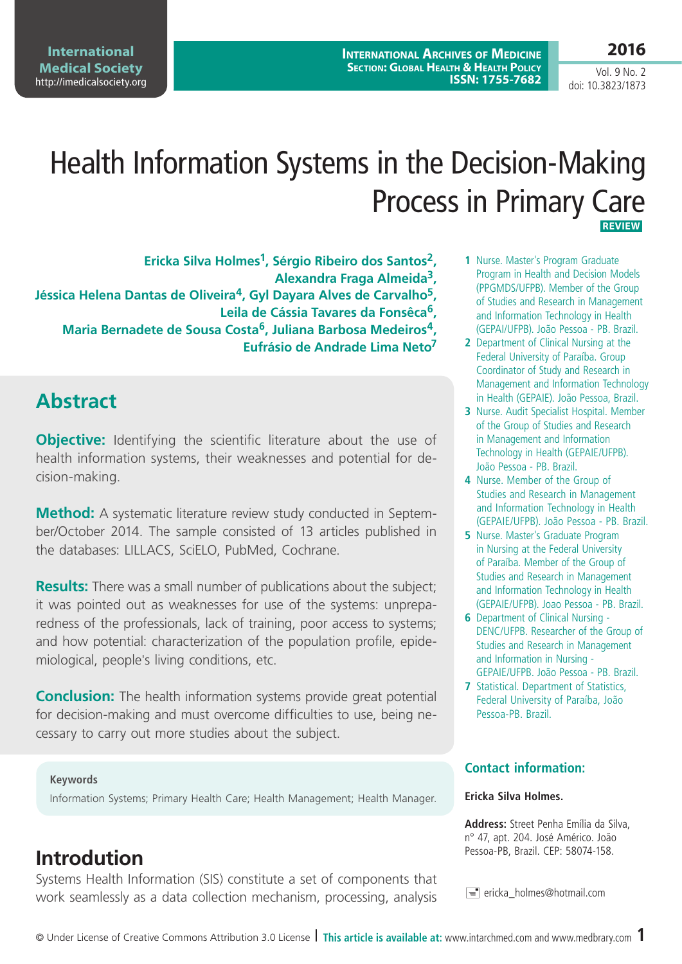# doi: 10.3823/1873

Vol. 9 No. 2

# Health Information Systems in the Decision-Making Process in Primary Care  **Review**

**Ericka Silva Holmes1, Sérgio Ribeiro dos Santos2, Alexandra Fraga Almeida3, Jéssica Helena Dantas de Oliveira4, Gyl Dayara Alves de Carvalho5, Leila de Cássia Tavares da Fonsêca6, Maria Bernadete de Sousa Costa6, Juliana Barbosa Medeiros4, Eufrásio de Andrade Lima Neto7**

# **Abstract**

**Objective:** Identifying the scientific literature about the use of health information systems, their weaknesses and potential for decision-making.

Method: A systematic literature review study conducted in September/October 2014. The sample consisted of 13 articles published in the databases: LILLACS, SciELO, PubMed, Cochrane.

**Results:** There was a small number of publications about the subject; it was pointed out as weaknesses for use of the systems: unpreparedness of the professionals, lack of training, poor access to systems; and how potential: characterization of the population profile, epidemiological, people's living conditions, etc.

**Conclusion:** The health information systems provide great potential for decision-making and must overcome difficulties to use, being necessary to carry out more studies about the subject.

#### **Keywords**

Information Systems; Primary Health Care; Health Management; Health Manager.

### **Introdution**

Systems Health Information (SIS) constitute a set of components that work seamlessly as a data collection mechanism, processing, analysis

- **1** Nurse. Master's Program Graduate Program in Health and Decision Models (PPGMDS/UFPB). Member of the Group of Studies and Research in Management and Information Technology in Health (GEPAI/UFPB). João Pessoa - PB. Brazil.
- **2** Department of Clinical Nursing at the Federal University of Paraíba. Group Coordinator of Study and Research in Management and Information Technology in Health (GEPAIE). João Pessoa, Brazil.
- **3** Nurse. Audit Specialist Hospital. Member of the Group of Studies and Research in Management and Information Technology in Health (GEPAIE/UFPB). João Pessoa - PB. Brazil.
- **4** Nurse. Member of the Group of Studies and Research in Management and Information Technology in Health (GEPAIE/UFPB). João Pessoa - PB. Brazil.
- **5** Nurse. Master's Graduate Program in Nursing at the Federal University of Paraíba. Member of the Group of Studies and Research in Management and Information Technology in Health (GEPAIE/UFPB). Joao Pessoa - PB. Brazil.
- **6** Department of Clinical Nursing DENC/UFPB. Researcher of the Group of Studies and Research in Management and Information in Nursing - GEPAIE/UFPB. João Pessoa - PB. Brazil.
- **7** Statistical. Department of Statistics, Federal University of Paraíba, João Pessoa-PB. Brazil.

#### **Contact information:**

#### **Ericka Silva Holmes.**

**Address:** Street Penha Emília da Silva, n° 47, apt. 204. José Américo. João Pessoa-PB, Brazil. CEP: 58074-158.

 $\equiv$  ericka holmes@hotmail.com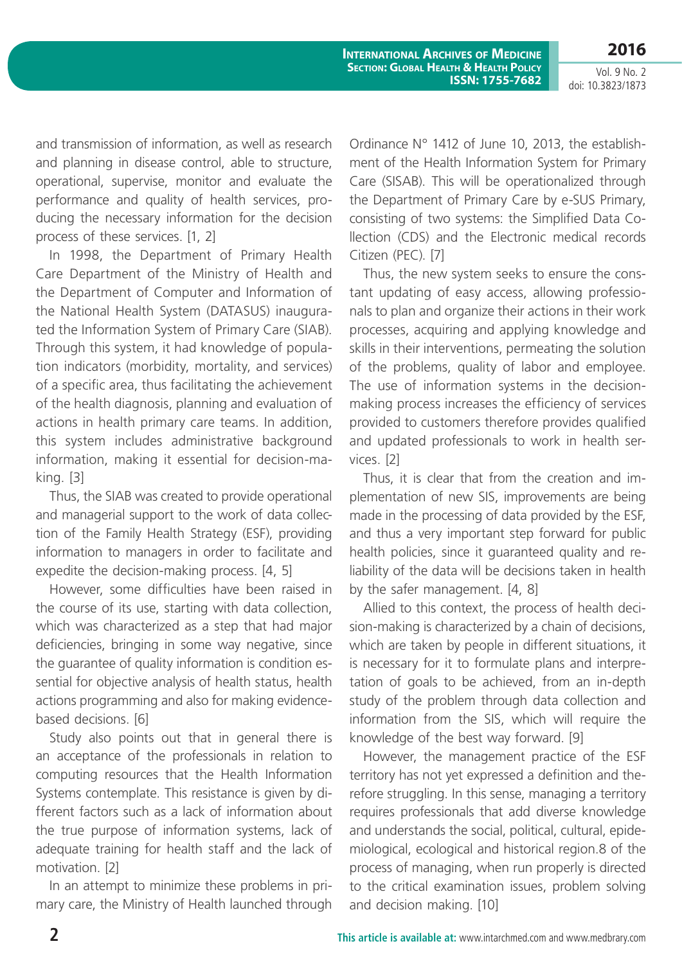Vol. 9 No. 2 doi: 10.3823/1873

**2016**

and transmission of information, as well as research and planning in disease control, able to structure, operational, supervise, monitor and evaluate the performance and quality of health services, producing the necessary information for the decision process of these services. [1, 2]

In 1998, the Department of Primary Health Care Department of the Ministry of Health and the Department of Computer and Information of the National Health System (DATASUS) inaugurated the Information System of Primary Care (SIAB). Through this system, it had knowledge of population indicators (morbidity, mortality, and services) of a specific area, thus facilitating the achievement of the health diagnosis, planning and evaluation of actions in health primary care teams. In addition, this system includes administrative background information, making it essential for decision-making. [3]

Thus, the SIAB was created to provide operational and managerial support to the work of data collection of the Family Health Strategy (ESF), providing information to managers in order to facilitate and expedite the decision-making process. [4, 5]

However, some difficulties have been raised in the course of its use, starting with data collection, which was characterized as a step that had major deficiencies, bringing in some way negative, since the guarantee of quality information is condition essential for objective analysis of health status, health actions programming and also for making evidencebased decisions. [6]

Study also points out that in general there is an acceptance of the professionals in relation to computing resources that the Health Information Systems contemplate. This resistance is given by different factors such as a lack of information about the true purpose of information systems, lack of adequate training for health staff and the lack of motivation. [2]

In an attempt to minimize these problems in primary care, the Ministry of Health launched through Ordinance N° 1412 of June 10, 2013, the establishment of the Health Information System for Primary Care (SISAB). This will be operationalized through the Department of Primary Care by e-SUS Primary, consisting of two systems: the Simplified Data Collection (CDS) and the Electronic medical records Citizen (PEC). [7]

Thus, the new system seeks to ensure the constant updating of easy access, allowing professionals to plan and organize their actions in their work processes, acquiring and applying knowledge and skills in their interventions, permeating the solution of the problems, quality of labor and employee. The use of information systems in the decisionmaking process increases the efficiency of services provided to customers therefore provides qualified and updated professionals to work in health services. [2]

Thus, it is clear that from the creation and implementation of new SIS, improvements are being made in the processing of data provided by the ESF, and thus a very important step forward for public health policies, since it guaranteed quality and reliability of the data will be decisions taken in health by the safer management. [4, 8]

Allied to this context, the process of health decision-making is characterized by a chain of decisions, which are taken by people in different situations, it is necessary for it to formulate plans and interpretation of goals to be achieved, from an in-depth study of the problem through data collection and information from the SIS, which will require the knowledge of the best way forward. [9]

However, the management practice of the ESF territory has not yet expressed a definition and therefore struggling. In this sense, managing a territory requires professionals that add diverse knowledge and understands the social, political, cultural, epidemiological, ecological and historical region.8 of the process of managing, when run properly is directed to the critical examination issues, problem solving and decision making. [10]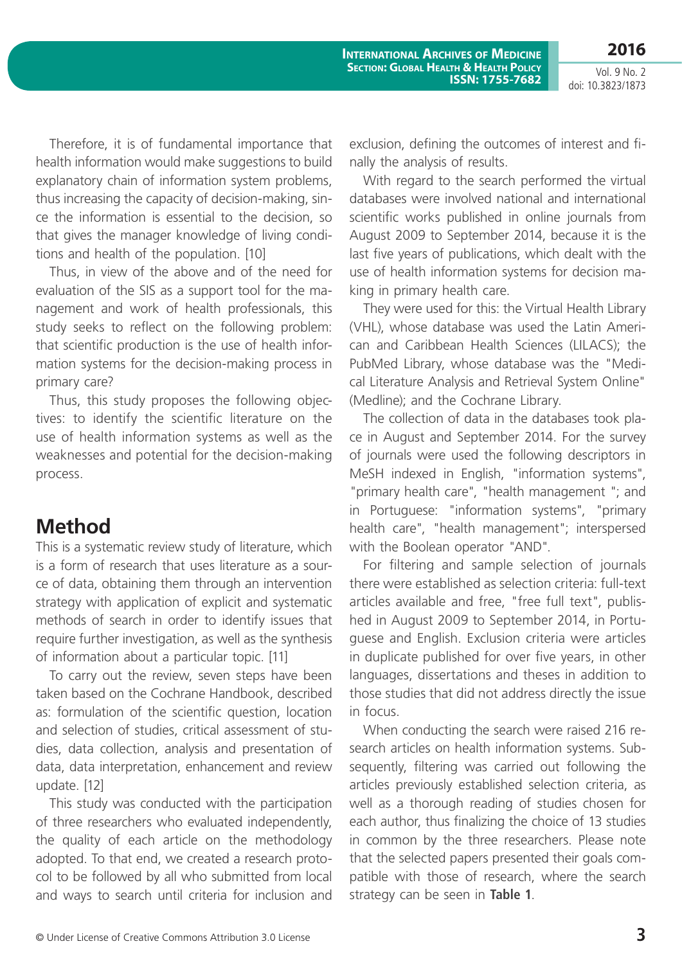**2016** Vol. 9 No. 2

doi: 10.3823/1873

Therefore, it is of fundamental importance that health information would make suggestions to build explanatory chain of information system problems, thus increasing the capacity of decision-making, since the information is essential to the decision, so that gives the manager knowledge of living conditions and health of the population. [10]

Thus, in view of the above and of the need for evaluation of the SIS as a support tool for the management and work of health professionals, this study seeks to reflect on the following problem: that scientific production is the use of health information systems for the decision-making process in primary care?

Thus, this study proposes the following objectives: to identify the scientific literature on the use of health information systems as well as the weaknesses and potential for the decision-making process.

#### **Method**

This is a systematic review study of literature, which is a form of research that uses literature as a source of data, obtaining them through an intervention strategy with application of explicit and systematic methods of search in order to identify issues that require further investigation, as well as the synthesis of information about a particular topic. [11]

To carry out the review, seven steps have been taken based on the Cochrane Handbook, described as: formulation of the scientific question, location and selection of studies, critical assessment of studies, data collection, analysis and presentation of data, data interpretation, enhancement and review update. [12]

This study was conducted with the participation of three researchers who evaluated independently, the quality of each article on the methodology adopted. To that end, we created a research protocol to be followed by all who submitted from local and ways to search until criteria for inclusion and exclusion, defining the outcomes of interest and finally the analysis of results.

With regard to the search performed the virtual databases were involved national and international scientific works published in online journals from August 2009 to September 2014, because it is the last five years of publications, which dealt with the use of health information systems for decision making in primary health care.

They were used for this: the Virtual Health Library (VHL), whose database was used the Latin American and Caribbean Health Sciences (LILACS); the PubMed Library, whose database was the "Medical Literature Analysis and Retrieval System Online" (Medline); and the Cochrane Library.

The collection of data in the databases took place in August and September 2014. For the survey of journals were used the following descriptors in MeSH indexed in English, "information systems", "primary health care", "health management "; and in Portuguese: "information systems", "primary health care", "health management"; interspersed with the Boolean operator "AND".

For filtering and sample selection of journals there were established as selection criteria: full-text articles available and free, "free full text", published in August 2009 to September 2014, in Portuguese and English. Exclusion criteria were articles in duplicate published for over five years, in other languages, dissertations and theses in addition to those studies that did not address directly the issue in focus.

When conducting the search were raised 216 research articles on health information systems. Subsequently, filtering was carried out following the articles previously established selection criteria, as well as a thorough reading of studies chosen for each author, thus finalizing the choice of 13 studies in common by the three researchers. Please note that the selected papers presented their goals compatible with those of research, where the search strategy can be seen in **Table 1**.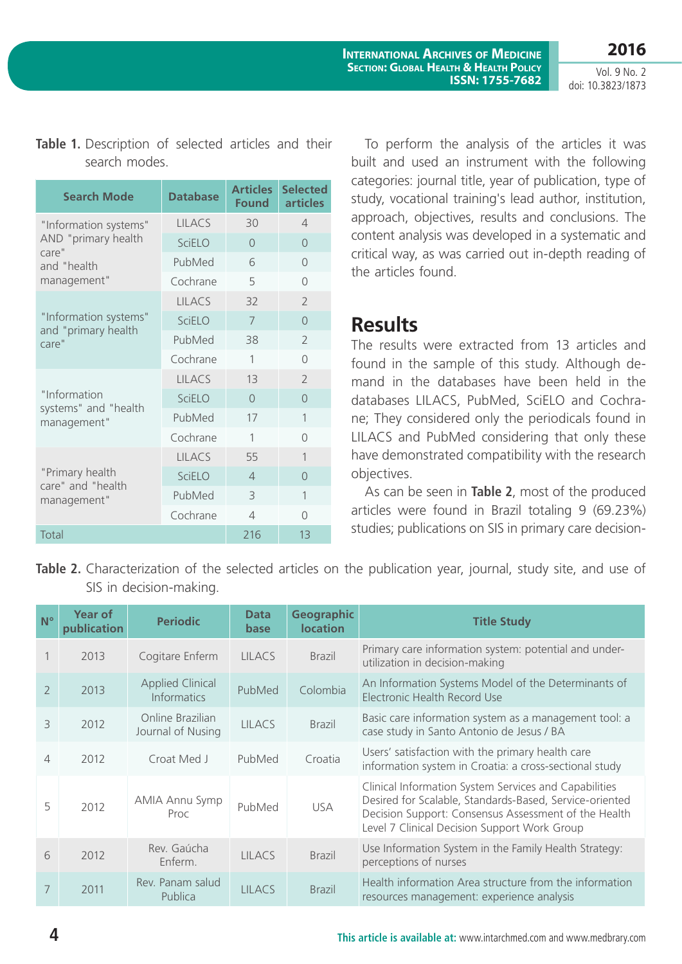doi: 10.3823/1873

|  | Table 1. Description of selected articles and their |  |  |  |
|--|-----------------------------------------------------|--|--|--|
|  | search modes.                                       |  |  |  |

| <b>Search Mode</b>                   | <b>Database</b> | <b>Articles</b><br><b>Found</b> | <b>Selected</b><br><b>articles</b> |
|--------------------------------------|-----------------|---------------------------------|------------------------------------|
| "Information systems"                | <b>LILACS</b>   | 30                              | 4                                  |
| AND "primary health<br>care"         | <b>SciELO</b>   | $\bigcap$                       | $\Omega$                           |
| and "health                          | PubMed          | 6                               | $\Omega$                           |
| management"                          | Cochrane        | 5                               | $\bigcap$                          |
|                                      | <b>LILACS</b>   | 32                              | $\overline{\phantom{a}}$           |
| "Information systems"                | <b>SciELO</b>   | 7                               | $\Omega$                           |
| and "primary health<br>care"         | PubMed          | 38                              | $\mathcal{P}$                      |
|                                      | Cochrane        | 1                               | $\bigcap$                          |
|                                      | <b>LILACS</b>   | 13                              | $\overline{\phantom{a}}$           |
| "Information                         | <b>SciELO</b>   | $\bigcap$                       | $\bigcap$                          |
| systems" and "health<br>management"  | PubMed          | 17                              | 1                                  |
|                                      | Cochrane        | 1                               | $\bigcap$                          |
|                                      | <b>IIIACS</b>   | 55                              | $\mathbf{1}$                       |
| "Primary health<br>care" and "health | <b>SciELO</b>   | $\Delta$                        | $\Omega$                           |
| management"                          | PubMed          | 3                               | 1                                  |
|                                      | Cochrane        | $\Delta$                        | $\bigcap$                          |
| Total                                |                 | 216                             | 13                                 |

To perform the analysis of the articles it was built and used an instrument with the following categories: journal title, year of publication, type of study, vocational training's lead author, institution, approach, objectives, results and conclusions. The content analysis was developed in a systematic and critical way, as was carried out in-depth reading of the articles found.

#### **Results**

The results were extracted from 13 articles and found in the sample of this study. Although demand in the databases have been held in the databases LILACS, PubMed, SciELO and Cochrane; They considered only the periodicals found in LILACS and PubMed considering that only these have demonstrated compatibility with the research objectives.

As can be seen in **Table 2**, most of the produced articles were found in Brazil totaling 9 (69.23%) studies; publications on SIS in primary care decision-

**Table 2.** Characterization of the selected articles on the publication year, journal, study site, and use of SIS in decision-making.

| $N^{\circ}$    | <b>Year of</b><br>publication | <b>Periodic</b>                               | <b>Data</b><br>base | <b>Geographic</b><br><b>location</b> | <b>Title Study</b>                                                                                                                                                                                                       |
|----------------|-------------------------------|-----------------------------------------------|---------------------|--------------------------------------|--------------------------------------------------------------------------------------------------------------------------------------------------------------------------------------------------------------------------|
|                | 2013                          | Cogitare Enferm                               | <b>LILACS</b>       | <b>Brazil</b>                        | Primary care information system: potential and under-<br>utilization in decision-making                                                                                                                                  |
| $\overline{2}$ | 2013                          | <b>Applied Clinical</b><br><b>Informatics</b> | PubMed              | Colombia                             | An Information Systems Model of the Determinants of<br>Electronic Health Record Use                                                                                                                                      |
| 3              | 2012                          | Online Brazilian<br>Journal of Nusing         | <b>IIIACS</b>       | <b>Brazil</b>                        | Basic care information system as a management tool: a<br>case study in Santo Antonio de Jesus / BA                                                                                                                       |
| 4              | 2012                          | Croat Med J                                   | PubMed              | Croatia                              | Users' satisfaction with the primary health care<br>information system in Croatia: a cross-sectional study                                                                                                               |
| 5              | 2012                          | <b>AMIA Annu Symp</b><br>Proc                 | PubMed              | <b>USA</b>                           | Clinical Information System Services and Capabilities<br>Desired for Scalable, Standards-Based, Service-oriented<br>Decision Support: Consensus Assessment of the Health<br>Level 7 Clinical Decision Support Work Group |
| 6              | 2012                          | Rev. Gaúcha<br>Fnferm.                        | <b>III ACS</b>      | <b>Brazil</b>                        | Use Information System in the Family Health Strategy:<br>perceptions of nurses                                                                                                                                           |
| 7              | 2011                          | Rev. Panam salud<br>Publica                   | <b>IIIACS</b>       | <b>Brazil</b>                        | Health information Area structure from the information<br>resources management: experience analysis                                                                                                                      |

#### **4 This article is available at:** [www.intarchmed.com](http://www.intarchmed.com) and www.medbrary.com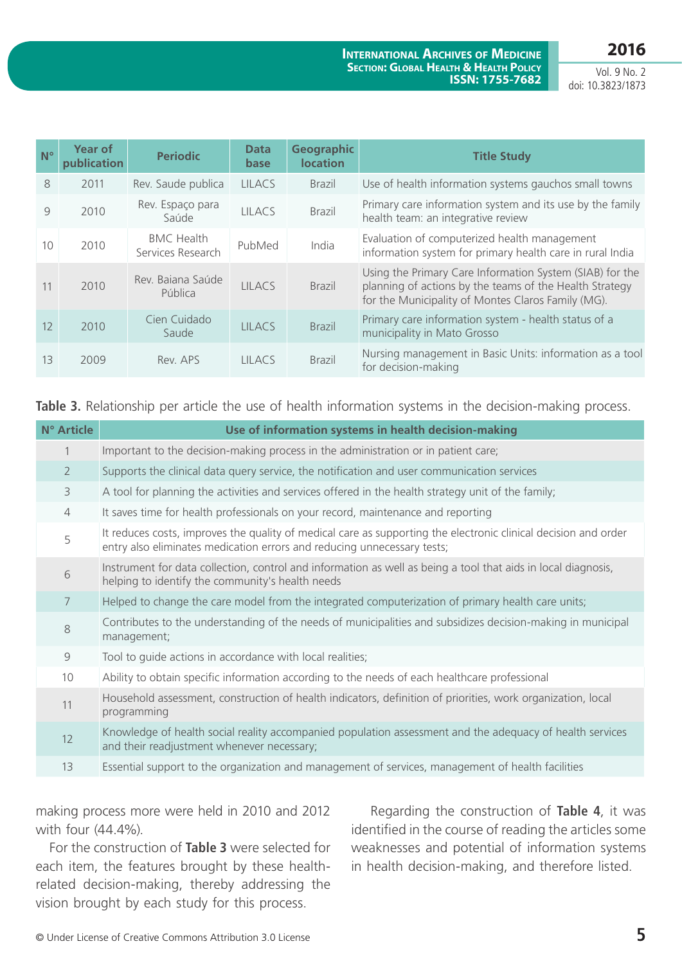**2016**

Vol. 9 No. 2 doi: 10.3823/1873

| $N^{\circ}$ | <b>Year of</b><br>publication | <b>Periodic</b>                        | <b>Data</b><br>base | <b>Geographic</b><br><b>location</b> | <b>Title Study</b>                                                                                                                                                        |
|-------------|-------------------------------|----------------------------------------|---------------------|--------------------------------------|---------------------------------------------------------------------------------------------------------------------------------------------------------------------------|
| 8           | 2011                          | Rev. Saude publica                     | <b>LILACS</b>       | <b>Brazil</b>                        | Use of health information systems gauchos small towns                                                                                                                     |
| 9           | 2010                          | Rev. Espaço para<br>Saúde              | <b>IIIACS</b>       | <b>Brazil</b>                        | Primary care information system and its use by the family<br>health team: an integrative review                                                                           |
| 10          | 2010                          | <b>BMC Health</b><br>Services Research | PubMed              | India                                | Evaluation of computerized health management<br>information system for primary health care in rural India                                                                 |
| 11          | 2010                          | Rev. Bajana Saúde<br>Pública           | <b>IIIACS</b>       | <b>Brazil</b>                        | Using the Primary Care Information System (SIAB) for the<br>planning of actions by the teams of the Health Strategy<br>for the Municipality of Montes Claros Family (MG). |
| 12          | 2010                          | Cien Cuidado<br>Saude                  | <b>IIIACS</b>       | <b>Brazil</b>                        | Primary care information system - health status of a<br>municipality in Mato Grosso                                                                                       |
| 13          | 2009                          | Rev. APS                               | LILACS              | <b>Brazil</b>                        | Nursing management in Basic Units: information as a tool<br>for decision-making                                                                                           |

**Table 3.** Relationship per article the use of health information systems in the decision-making process.

| N° Article     | Use of information systems in health decision-making                                                                                                                                       |
|----------------|--------------------------------------------------------------------------------------------------------------------------------------------------------------------------------------------|
|                | Important to the decision-making process in the administration or in patient care;                                                                                                         |
| $\overline{2}$ | Supports the clinical data query service, the notification and user communication services                                                                                                 |
| 3              | A tool for planning the activities and services offered in the health strategy unit of the family;                                                                                         |
| $\overline{4}$ | It saves time for health professionals on your record, maintenance and reporting                                                                                                           |
| 5              | It reduces costs, improves the quality of medical care as supporting the electronic clinical decision and order<br>entry also eliminates medication errors and reducing unnecessary tests; |
| 6              | Instrument for data collection, control and information as well as being a tool that aids in local diagnosis,<br>helping to identify the community's health needs                          |
| 7              | Helped to change the care model from the integrated computerization of primary health care units;                                                                                          |
| 8              | Contributes to the understanding of the needs of municipalities and subsidizes decision-making in municipal<br>management;                                                                 |
| 9              | Tool to guide actions in accordance with local realities;                                                                                                                                  |
| 10             | Ability to obtain specific information according to the needs of each healthcare professional                                                                                              |
| 11             | Household assessment, construction of health indicators, definition of priorities, work organization, local<br>programming                                                                 |
| 12             | Knowledge of health social reality accompanied population assessment and the adequacy of health services<br>and their readjustment whenever necessary;                                     |
| 13             | Essential support to the organization and management of services, management of health facilities                                                                                          |

making process more were held in 2010 and 2012 with four (44.4%).

For the construction of **Table 3** were selected for each item, the features brought by these healthrelated decision-making, thereby addressing the vision brought by each study for this process.

 Regarding the construction of **Table 4**, it was identified in the course of reading the articles some weaknesses and potential of information systems in health decision-making, and therefore listed.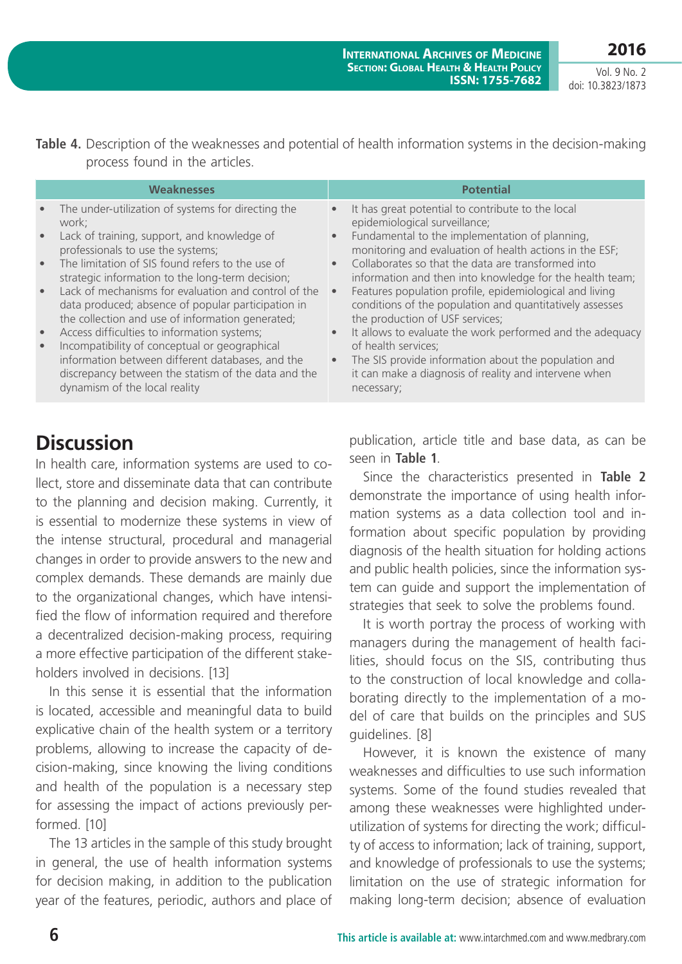**2016**

Vol. 9 No. 2 doi: 10.3823/1873

**Table 4.** Description of the weaknesses and potential of health information systems in the decision-making process found in the articles.

|                                                                            | <b>Weaknesses</b>                                                                                                                                                                                                                                                                                                                                                                                                                                                                                                                                                             | <b>Potential</b>                                                                                                                                                                                                                                                                                                                                                                                                                                                                                                                                                                                                                                                                                      |
|----------------------------------------------------------------------------|-------------------------------------------------------------------------------------------------------------------------------------------------------------------------------------------------------------------------------------------------------------------------------------------------------------------------------------------------------------------------------------------------------------------------------------------------------------------------------------------------------------------------------------------------------------------------------|-------------------------------------------------------------------------------------------------------------------------------------------------------------------------------------------------------------------------------------------------------------------------------------------------------------------------------------------------------------------------------------------------------------------------------------------------------------------------------------------------------------------------------------------------------------------------------------------------------------------------------------------------------------------------------------------------------|
| $\bullet$<br>$\bullet$<br>$\bullet$<br>$\bullet$<br>$\bullet$<br>$\bullet$ | The under-utilization of systems for directing the<br>work:<br>Lack of training, support, and knowledge of<br>professionals to use the systems;<br>The limitation of SIS found refers to the use of<br>strategic information to the long-term decision;<br>Lack of mechanisms for evaluation and control of the<br>data produced; absence of popular participation in<br>the collection and use of information generated;<br>Access difficulties to information systems;<br>Incompatibility of conceptual or geographical<br>information between different databases, and the | It has great potential to contribute to the local<br>$\bullet$<br>epidemiological surveillance;<br>Fundamental to the implementation of planning,<br>$\bullet$<br>monitoring and evaluation of health actions in the ESF;<br>Collaborates so that the data are transformed into<br>$\bullet$<br>information and then into knowledge for the health team;<br>Features population profile, epidemiological and living<br>$\bullet$<br>conditions of the population and quantitatively assesses<br>the production of USF services;<br>It allows to evaluate the work performed and the adequacy<br>$\bullet$<br>of health services;<br>The SIS provide information about the population and<br>$\bullet$ |
|                                                                            | discrepancy between the statism of the data and the<br>dynamism of the local reality                                                                                                                                                                                                                                                                                                                                                                                                                                                                                          | it can make a diagnosis of reality and intervene when<br>necessary;                                                                                                                                                                                                                                                                                                                                                                                                                                                                                                                                                                                                                                   |

# **Discussion**

In health care, information systems are used to collect, store and disseminate data that can contribute to the planning and decision making. Currently, it is essential to modernize these systems in view of the intense structural, procedural and managerial changes in order to provide answers to the new and complex demands. These demands are mainly due to the organizational changes, which have intensified the flow of information required and therefore a decentralized decision-making process, requiring a more effective participation of the different stakeholders involved in decisions. [13]

In this sense it is essential that the information is located, accessible and meaningful data to build explicative chain of the health system or a territory problems, allowing to increase the capacity of decision-making, since knowing the living conditions and health of the population is a necessary step for assessing the impact of actions previously performed. [10]

The 13 articles in the sample of this study brought in general, the use of health information systems for decision making, in addition to the publication year of the features, periodic, authors and place of publication, article title and base data, as can be seen in **Table 1**.

Since the characteristics presented in **Table 2** demonstrate the importance of using health information systems as a data collection tool and information about specific population by providing diagnosis of the health situation for holding actions and public health policies, since the information system can guide and support the implementation of strategies that seek to solve the problems found.

It is worth portray the process of working with managers during the management of health facilities, should focus on the SIS, contributing thus to the construction of local knowledge and collaborating directly to the implementation of a model of care that builds on the principles and SUS guidelines. [8]

However, it is known the existence of many weaknesses and difficulties to use such information systems. Some of the found studies revealed that among these weaknesses were highlighted underutilization of systems for directing the work; difficulty of access to information; lack of training, support, and knowledge of professionals to use the systems; limitation on the use of strategic information for making long-term decision; absence of evaluation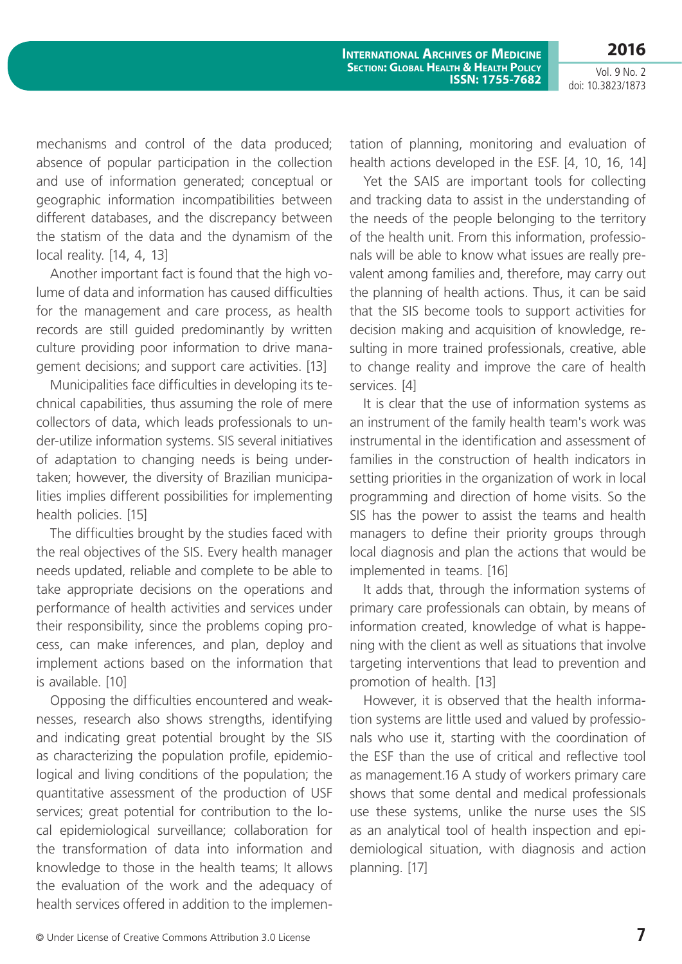**2016**

Vol. 9 No. 2 doi: 10.3823/1873

mechanisms and control of the data produced; absence of popular participation in the collection and use of information generated; conceptual or geographic information incompatibilities between different databases, and the discrepancy between the statism of the data and the dynamism of the local reality. [14, 4, 13]

Another important fact is found that the high volume of data and information has caused difficulties for the management and care process, as health records are still guided predominantly by written culture providing poor information to drive management decisions; and support care activities. [13]

Municipalities face difficulties in developing its technical capabilities, thus assuming the role of mere collectors of data, which leads professionals to under-utilize information systems. SIS several initiatives of adaptation to changing needs is being undertaken; however, the diversity of Brazilian municipalities implies different possibilities for implementing health policies. [15]

The difficulties brought by the studies faced with the real objectives of the SIS. Every health manager needs updated, reliable and complete to be able to take appropriate decisions on the operations and performance of health activities and services under their responsibility, since the problems coping process, can make inferences, and plan, deploy and implement actions based on the information that is available. [10]

Opposing the difficulties encountered and weaknesses, research also shows strengths, identifying and indicating great potential brought by the SIS as characterizing the population profile, epidemiological and living conditions of the population; the quantitative assessment of the production of USF services; great potential for contribution to the local epidemiological surveillance; collaboration for the transformation of data into information and knowledge to those in the health teams; It allows the evaluation of the work and the adequacy of health services offered in addition to the implementation of planning, monitoring and evaluation of health actions developed in the ESF. [4, 10, 16, 14]

Yet the SAIS are important tools for collecting and tracking data to assist in the understanding of the needs of the people belonging to the territory of the health unit. From this information, professionals will be able to know what issues are really prevalent among families and, therefore, may carry out the planning of health actions. Thus, it can be said that the SIS become tools to support activities for decision making and acquisition of knowledge, resulting in more trained professionals, creative, able to change reality and improve the care of health services. [4]

It is clear that the use of information systems as an instrument of the family health team's work was instrumental in the identification and assessment of families in the construction of health indicators in setting priorities in the organization of work in local programming and direction of home visits. So the SIS has the power to assist the teams and health managers to define their priority groups through local diagnosis and plan the actions that would be implemented in teams. [16]

It adds that, through the information systems of primary care professionals can obtain, by means of information created, knowledge of what is happening with the client as well as situations that involve targeting interventions that lead to prevention and promotion of health. [13]

However, it is observed that the health information systems are little used and valued by professionals who use it, starting with the coordination of the ESF than the use of critical and reflective tool as management.16 A study of workers primary care shows that some dental and medical professionals use these systems, unlike the nurse uses the SIS as an analytical tool of health inspection and epidemiological situation, with diagnosis and action planning. [17]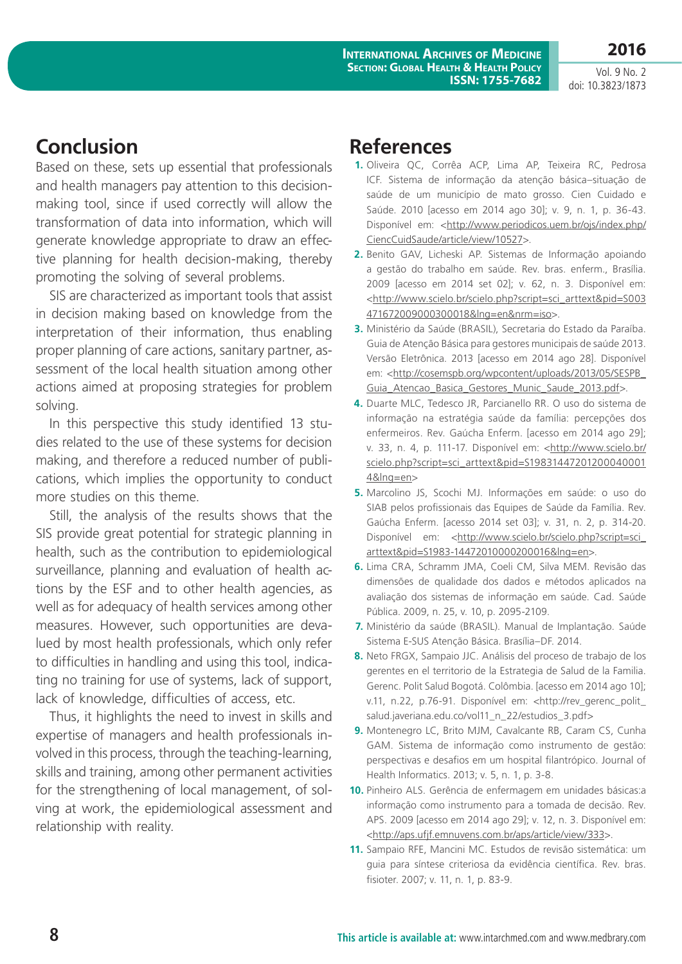**2016**

Vol. 9 No. 2 doi: 10.3823/1873

# **Conclusion**

Based on these, sets up essential that professionals and health managers pay attention to this decisionmaking tool, since if used correctly will allow the transformation of data into information, which will generate knowledge appropriate to draw an effective planning for health decision-making, thereby promoting the solving of several problems.

SIS are characterized as important tools that assist in decision making based on knowledge from the interpretation of their information, thus enabling proper planning of care actions, sanitary partner, assessment of the local health situation among other actions aimed at proposing strategies for problem solving.

In this perspective this study identified 13 studies related to the use of these systems for decision making, and therefore a reduced number of publications, which implies the opportunity to conduct more studies on this theme.

Still, the analysis of the results shows that the SIS provide great potential for strategic planning in health, such as the contribution to epidemiological surveillance, planning and evaluation of health actions by the ESF and to other health agencies, as well as for adequacy of health services among other measures. However, such opportunities are devalued by most health professionals, which only refer to difficulties in handling and using this tool, indicating no training for use of systems, lack of support, lack of knowledge, difficulties of access, etc.

Thus, it highlights the need to invest in skills and expertise of managers and health professionals involved in this process, through the teaching-learning, skills and training, among other permanent activities for the strengthening of local management, of solving at work, the epidemiological assessment and relationship with reality.

## **References**

- **1.** Oliveira QC, Corrêa ACP, Lima AP, Teixeira RC, Pedrosa ICF. Sistema de informação da atenção básica–situação de saúde de um município de mato grosso. Cien Cuidado e Saúde. 2010 [acesso em 2014 ago 30]; v. 9, n. 1, p. 36-43. Disponível em: [<http://www.periodicos.uem.br/ojs/index.php/](http://www.periodicos.uem.br/ojs/index.php/CiencCuidSaude/article/view/10527) [CiencCuidSaude/article/view/10527](http://www.periodicos.uem.br/ojs/index.php/CiencCuidSaude/article/view/10527)>.
- **2.** Benito GAV, Licheski AP. Sistemas de Informação apoiando a gestão do trabalho em saúde. Rev. bras. enferm., Brasília. 2009 [acesso em 2014 set 02]; v. 62, n. 3. Disponível em: <[http://www.scielo.br/scielo.php?script=sci\\_arttext&pid=S003](http://www.scielo.br/scielo.php?script=sci_arttext&pid=S003471672009000300018&lng=en&nrm=iso) [471672009000300018&lng=en&nrm=iso>](http://www.scielo.br/scielo.php?script=sci_arttext&pid=S003471672009000300018&lng=en&nrm=iso).
- **3.** Ministério da Saúde (BRASIL), Secretaria do Estado da Paraíba. Guia de Atenção Básica para gestores municipais de saúde 2013. Versão Eletrônica. 2013 [acesso em 2014 ago 28]. Disponível em: [<http://cosemspb.org/wpcontent/uploads/2013/05/SESPB\\_](http://cosemspb.org/wpcontent/uploads/2013/05/SESPB_Guia_Atencao_Basica_Gestores_Munic_Saude_2013.pdf) [Guia\\_Atencao\\_Basica\\_Gestores\\_Munic\\_Saude\\_2013.pdf>](http://cosemspb.org/wpcontent/uploads/2013/05/SESPB_Guia_Atencao_Basica_Gestores_Munic_Saude_2013.pdf).
- **4.** Duarte MLC, Tedesco JR, Parcianello RR. O uso do sistema de informação na estratégia saúde da família: percepções dos enfermeiros. Rev. Gaúcha Enferm. [acesso em 2014 ago 29]; v. 33, n. 4, p. 111-17. Disponível em: [<http://www.scielo.br/](http://www.scielo.br/scielo.php?script=sci_arttext&pid=S198314472012000400014&lng=en) [scielo.php?script=sci\\_arttext&pid=S19831447201200040001](http://www.scielo.br/scielo.php?script=sci_arttext&pid=S198314472012000400014&lng=en) [4&lng=en>](http://www.scielo.br/scielo.php?script=sci_arttext&pid=S198314472012000400014&lng=en)
- **5.** Marcolino JS, Scochi MJ. Informações em saúde: o uso do SIAB pelos profissionais das Equipes de Saúde da Família. Rev. Gaúcha Enferm. [acesso 2014 set 03]; v. 31, n. 2, p. 314-20. Disponível em: [<http://www.scielo.br/scielo.php?script=sci\\_](http://www.scielo.br/scielo.php?script=sci_arttext&pid=S1983-14472010000200016&lng=en) [arttext&pid=S1983-14472010000200016&lng=en>](http://www.scielo.br/scielo.php?script=sci_arttext&pid=S1983-14472010000200016&lng=en).
- **6.** Lima CRA, Schramm JMA, Coeli CM, Silva MEM. Revisão das dimensões de qualidade dos dados e métodos aplicados na avaliação dos sistemas de informação em saúde. Cad. Saúde Pública. 2009, n. 25, v. 10, p. 2095-2109.
- **7.** Ministério da saúde (BRASIL). Manual de Implantação. Saúde Sistema E-SUS Atenção Básica. Brasília–DF. 2014.
- **8.** Neto FRGX, Sampaio JJC. Análisis del proceso de trabajo de los gerentes en el territorio de la Estrategia de Salud de la Familia. Gerenc. Polit Salud Bogotá. Colômbia. [acesso em 2014 ago 10]; v.11, n.22, p.76-91. Disponível em: [<http://rev\\_gerenc\\_polit\\_](http://rev_gerenc_polit_salud.javeriana.edu.co/vol11_n_22/estudios_3.pdf) [salud.javeriana.edu.co/vol11\\_n\\_22/estudios\\_3.pdf>](http://rev_gerenc_polit_salud.javeriana.edu.co/vol11_n_22/estudios_3.pdf)
- **9.** Montenegro LC, Brito MJM, Cavalcante RB, Caram CS, Cunha GAM. Sistema de informação como instrumento de gestão: perspectivas e desafios em um hospital filantrópico. Journal of Health Informatics. 2013; v. 5, n. 1, p. 3-8.
- **10.** Pinheiro ALS. Gerência de enfermagem em unidades básicas:a informação como instrumento para a tomada de decisão. Rev. APS. 2009 [acesso em 2014 ago 29]; v. 12, n. 3. Disponível em: <[http://aps.ufjf.emnuvens.com.br/aps/article/view/333>](http://aps.ufjf.emnuvens.com.br/aps/article/view/333).
- **11.** Sampaio RFE, Mancini MC. Estudos de revisão sistemática: um guia para síntese criteriosa da evidência científica. Rev. bras. fisioter. 2007; v. 11, n. 1, p. 83-9.